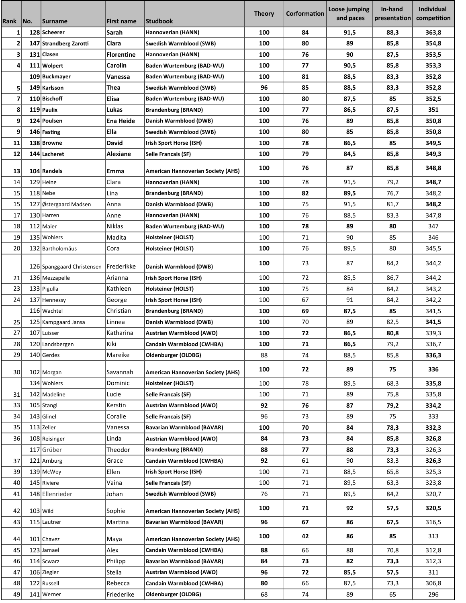| Rank            | No. | <b>Surname</b>             | <b>First name</b> | Studbook                                  | <b>Theory</b> | Corformation | Loose jumping<br>and paces | In-hand<br>presentation | <b>Individual</b><br>competition |
|-----------------|-----|----------------------------|-------------------|-------------------------------------------|---------------|--------------|----------------------------|-------------------------|----------------------------------|
|                 |     | 128 Scheerer               | <b>Sarah</b>      | Hannoverian (HANN)                        | 100           | 84           | 91,5                       | 88,3                    | 363,8                            |
| 2               |     | 147 Strandberg Zarotti     | Clara             | Swedish Warmblood (SWB)                   | 100           | 80           | 89                         | 85,8                    | 354,8                            |
| 3               |     | 131 Clasen                 | <b>Florentine</b> | Hannoverian (HANN)                        | 100           | 76           | 90                         | 87,5                    | 353,5                            |
| 4               |     | 111 Wolpert                | Carolin           | Baden Wurtemburg (BAD-WU)                 | 100           | 77           | 90,5                       | 85,8                    | 353,3                            |
|                 |     | 109 Buckmayer              | Vanessa           | Baden Wurtemburg (BAD-WU)                 | 100           | 81           | 88,5                       | 83,3                    | 352,8                            |
| 5               |     | 149 Karlsson               | Thea              | Swedish Warmblood (SWB)                   | 96            | 85           | 88,5                       | 83,3                    | 352,8                            |
| 7               |     | 110 Bischoff               | Elisa             | Baden Wurtemburg (BAD-WU)                 | 100           | 80           | 87,5                       | 85                      | 352,5                            |
| 8               |     | 119 Paulix                 | Lukas             | <b>Brandenburg (BRAND)</b>                | 100           | 77           | 86,5                       | 87,5                    | 351                              |
| $\mathbf{9}$    |     | 124 Poulsen                | Ena Heide         | Danish Warmblood (DWB)                    | 100           | 76           | 89                         | 85,8                    | 350,8                            |
| $\mathbf{9}$    |     | 146 Fasting                | Ella              | Swedish Warmblood (SWB)                   | 100           | 80           | 85                         | 85,8                    | 350,8                            |
| 11              |     | 138 Browne                 | David             | Irish Sport Horse (ISH)                   | 100           | 78           | 86,5                       | 85                      | 349,5                            |
| 12              |     | 144 Lacheret               | Alexiane          | Selle Francais (SF)                       | 100           | 79           | 84,5                       | 85,8                    | 349,3                            |
|                 |     |                            |                   |                                           |               |              |                            |                         |                                  |
| 13              |     | 104 Randels                | Emma              | <b>American Hannoverian Society (AHS)</b> | 100           | 76           | 87                         | 85,8                    | 348,8                            |
| 14              |     | 129 Heine                  | Clara             | Hannoverian (HANN)                        | 100           | 78           | 91,5                       | 79,2                    | 348,7                            |
| 15              |     | 118 Nebe                   | Lina              | <b>Brandenburg (BRAND)</b>                | 100           | 82           | 89,5                       | 76,7                    | 348,2                            |
| 15              | 127 | Østergaard Madsen          | Anna              | Danish Warmblood (DWB)                    | 100           | 75           | 91,5                       | 81,7                    | 348,2                            |
| 17              |     | 130 Harren                 | Anne              | Hannoverian (HANN)                        | 100           | 76           | 88,5                       | 83,3                    | 347,8                            |
| 18              |     | 112 Maier                  | Niklas            | Baden Wurtemburg (BAD-WU)                 | 100           | 78           | 89                         | 80                      | 347                              |
| 19              |     | 135 Wohlers                | Madita            | Holsteiner (HOLST)                        | 100           | 71           | 90                         | 85                      | 346                              |
| 20              |     | 132 Bartholomäus           | Cora              | Holsteiner (HOLST)                        | 100           | 76           | 89,5                       | 80                      | 345,5                            |
|                 |     |                            |                   |                                           | 100           | 73           | 87                         | 84,2                    | 344,2                            |
|                 |     | 126 Spanggaard Christensen | Frederikke        | Danish Warmblood (DWB)                    |               |              |                            |                         |                                  |
| 21              |     | 136 Mezzapelle             | Arianna           | Irish Sport Horse (ISH)                   | 100           | 72           | 85,5                       | 86,7                    | 344,2                            |
| 23              |     | 133 Pigulla                | Kathleen          | Holsteiner (HOLST)                        | 100           | 75           | 84                         | 84,2                    | 343,2                            |
| 24              |     | 137 Hennessy               | George            | Irish Sport Horse (ISH)                   | 100           | 67           | 91                         | 84,2                    | 342,2                            |
|                 |     | 116 Wachtel                | Christian         | <b>Brandenburg (BRAND)</b>                | 100           | 69           | 87,5                       | 85                      | 341,5                            |
| 25              |     | 125 Kampgaard Jansa        | Linnea            | Danish Warmblood (DWB)                    | 100           | 70           | 89                         | 82,5                    | 341,5                            |
| 27              | 107 | Luisser                    | Katharina         | Austrian Warmblood (AWO)                  | 100           | 72           | 86,5                       | 80,8                    | 339,3                            |
| 28              |     | 120 Landsbergen            | Kiki              | Candain Warmblood (CWHBA)                 | 100           | 71           | 86,5                       | 79,2                    | 336,7                            |
| 29              |     | 140 Gerdes                 | Mareike           | Oldenburger (OLDBG)                       | 88            | 74           | 88,5                       | 85,8                    | 336,3                            |
| 30 <sup>2</sup> |     | 102 Morgan                 | Savannah          | <b>American Hannoverian Society (AHS)</b> | 100           | 72           | 89                         | 75                      | 336                              |
|                 |     | 134 Wohlers                | Dominic           | Holsteiner (HOLST)                        | 100           | 78           | 89,5                       | 68,3                    | 335,8                            |
| 31              |     | 142 Madeline               | Lucie             | <b>Selle Francais (SF)</b>                | 100           | 71           | 89                         | 75,8                    | 335,8                            |
| 33              |     | 105 Stangl                 | Kerstin           | <b>Austrian Warmblood (AWO)</b>           | 92            | 76           | 87                         | 79,2                    | 334,2                            |
| 34              |     | 143 Glinel                 | Coralie           | Selle Francais (SF)                       | 96            | 73           | 89                         | 75                      | 333                              |
| 35              |     | 113 Zeller                 | Vanessa           | <b>Bavarian Warmblood (BAVAR)</b>         | 100           | 70           | 84                         | 78,3                    | 332,3                            |
| 36              |     | 108 Reisinger              | Linda             | Austrian Warmblood (AWO)                  | 84            | 73           | 84                         | 85,8                    | 326,8                            |
|                 |     | 117 Grüber                 | Theodor           | <b>Brandenburg (BRAND)</b>                | 88            | 77           | 88                         | 73,3                    | 326,3                            |
| 37              |     | 121 Arnburg                | Grace             | Candain Warmblood (CWHBA)                 | 92            | 61           | 90                         | 83,3                    | 326,3                            |
| 39              |     | 139 McWey                  | Ellen             | Irish Sport Horse (ISH)                   | 100           | 71           | 88,5                       | 65,8                    | 325,3                            |
| 40              |     | 145 Riviere                | Vaina             | Selle Francais (SF)                       | 100           | 71           | 89,5                       | 63,3                    | 323,8                            |
| 41              |     | 148 Ellenrieder            | Johan             | Swedish Warmblood (SWB)                   | 76            | 71           | 89,5                       | 84,2                    | 320,7                            |
| 42              |     | $103$ Wild                 | Sophie            | <b>American Hannoverian Society (AHS)</b> | 100           | 71           | 92                         | 57,5                    | 320,5                            |
| 43              |     | 115 Lautner                | Martina           | <b>Bavarian Warmblood (BAVAR)</b>         | 96            | 67           | 86                         | 67,5                    | 316,5                            |
| 44              |     | 101 Chavez                 | Maya              | <b>American Hannoverian Society (AHS)</b> | 100           | 42           | 86                         | 85                      | 313                              |
| 45              |     | 123 Jamael                 | Alex              | Candain Warmblood (CWHBA)                 | 88            | 66           | 88                         | 70,8                    | 312,8                            |
| 46              |     | 114 Scwarz                 | Philipp           | <b>Bavarian Warmblood (BAVAR)</b>         | 84            | 73           | 82                         | 73,3                    | 312,3                            |
| 47              |     | 106 Ziegler                | Stella            | Austrian Warmblood (AWO)                  | 96            | 72           | 85,5                       | 57,5                    | 311                              |
| 48              |     | 122 Russell                | Rebecca           | Candain Warmblood (CWHBA)                 | 80            | 66           | 87,5                       | 73,3                    | 306,8                            |
| 49              |     | 141 Werner                 | Friederike        | Oldenburger (OLDBG)                       | 68            | 74           | 89                         | 65                      | 296                              |
|                 |     |                            |                   |                                           |               |              |                            |                         |                                  |